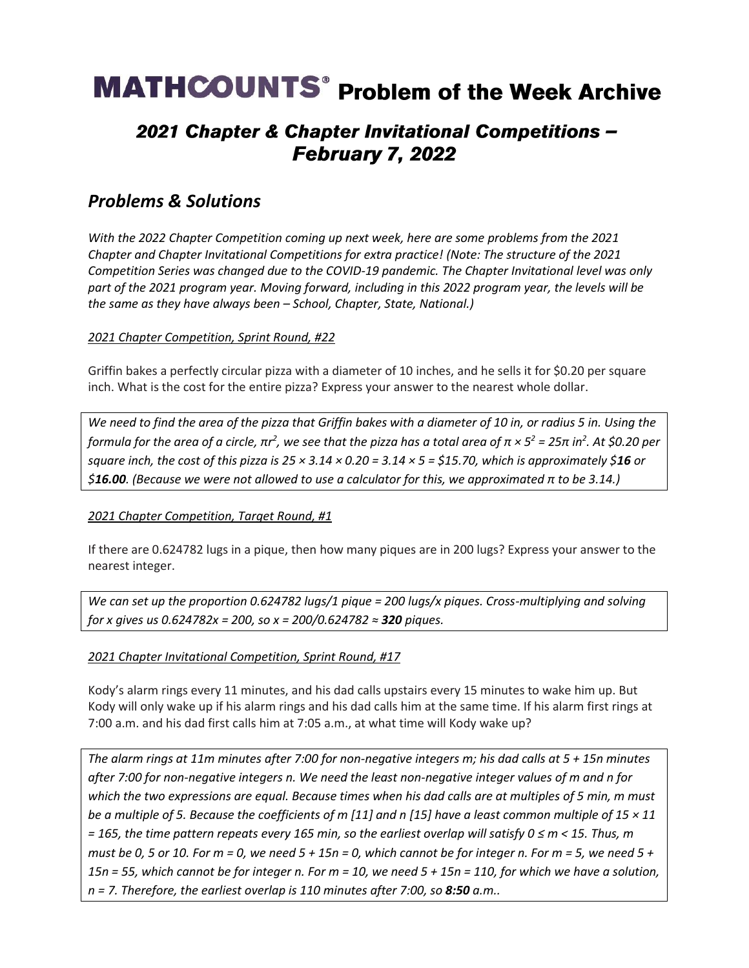# **MATHCOUNTS**<sup>®</sup> Problem of the Week Archive

## 2021 Chapter & Chapter Invitational Competitions -**February 7, 2022**

## *Problems & Solutions*

*With the 2022 Chapter Competition coming up next week, here are some problems from the 2021 Chapter and Chapter Invitational Competitions for extra practice! (Note: The structure of the 2021 Competition Series was changed due to the COVID-19 pandemic. The Chapter Invitational level was only part of the 2021 program year. Moving forward, including in this 2022 program year, the levels will be the same as they have always been – School, Chapter, State, National.)*

*2021 Chapter Competition, Sprint Round, #22*

Griffin bakes a perfectly circular pizza with a diameter of 10 inches, and he sells it for \$0.20 per square inch. What is the cost for the entire pizza? Express your answer to the nearest whole dollar.

*We need to find the area of the pizza that Griffin bakes with a diameter of 10 in, or radius 5 in. Using the formula for the area of a circle, πr 2 , we see that the pizza has a total area of π × 5 <sup>2</sup> = 25π in<sup>2</sup> . At \$0.20 per square inch, the cost of this pizza is*  $25 \times 3.14 \times 0.20 = 3.14 \times 5 = 515.70$ *, which is approximately*  $$16$  *or \$16.00. (Because we were not allowed to use a calculator for this, we approximated π to be 3.14.)*

*2021 Chapter Competition, Target Round, #1*

If there are 0.624782 lugs in a pique, then how many piques are in 200 lugs? Express your answer to the nearest integer.

*We can set up the proportion 0.624782 lugs/1 pique = 200 lugs/x piques. Cross-multiplying and solving for x gives us 0.624782x = 200, so x = 200/0.624782 ≈ 320 piques.* 

## *2021 Chapter Invitational Competition, Sprint Round, #17*

Kody's alarm rings every 11 minutes, and his dad calls upstairs every 15 minutes to wake him up. But Kody will only wake up if his alarm rings and his dad calls him at the same time. If his alarm first rings at 7:00 a.m. and his dad first calls him at 7:05 a.m., at what time will Kody wake up?

*The alarm rings at 11m minutes after 7:00 for non-negative integers m; his dad calls at 5 + 15n minutes after 7:00 for non-negative integers n. We need the least non-negative integer values of m and n for which the two expressions are equal. Because times when his dad calls are at multiples of 5 min, m must be a multiple of 5. Because the coefficients of m [11] and n [15] have a least common multiple of 15 × 11 = 165, the time pattern repeats every 165 min, so the earliest overlap will satisfy 0 ≤ m < 15. Thus, m must be 0, 5 or 10. For m = 0, we need 5 + 15n = 0, which cannot be for integer n. For m = 5, we need 5 + 15n = 55, which cannot be for integer n. For m = 10, we need 5 + 15n = 110, for which we have a solution, n = 7. Therefore, the earliest overlap is 110 minutes after 7:00, so 8:50 a.m..*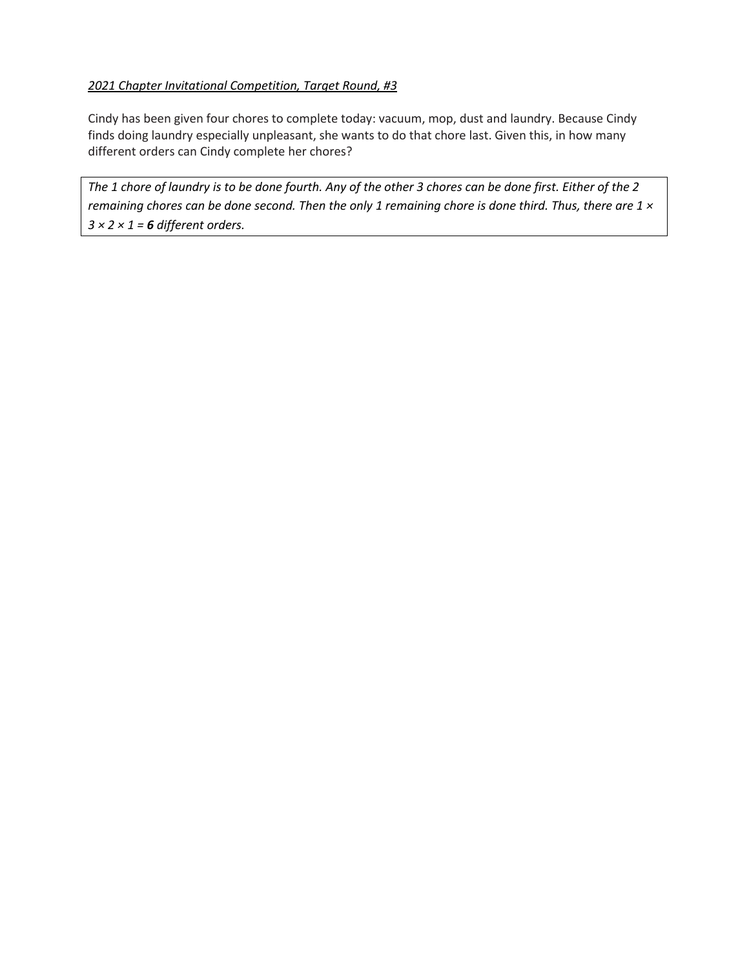## *2021 Chapter Invitational Competition, Target Round, #3*

Cindy has been given four chores to complete today: vacuum, mop, dust and laundry. Because Cindy finds doing laundry especially unpleasant, she wants to do that chore last. Given this, in how many different orders can Cindy complete her chores?

*The 1 chore of laundry is to be done fourth. Any of the other 3 chores can be done first. Either of the 2 remaining chores can be done second. Then the only 1 remaining chore is done third. Thus, there are 1 × 3 × 2 × 1 = 6 different orders.*